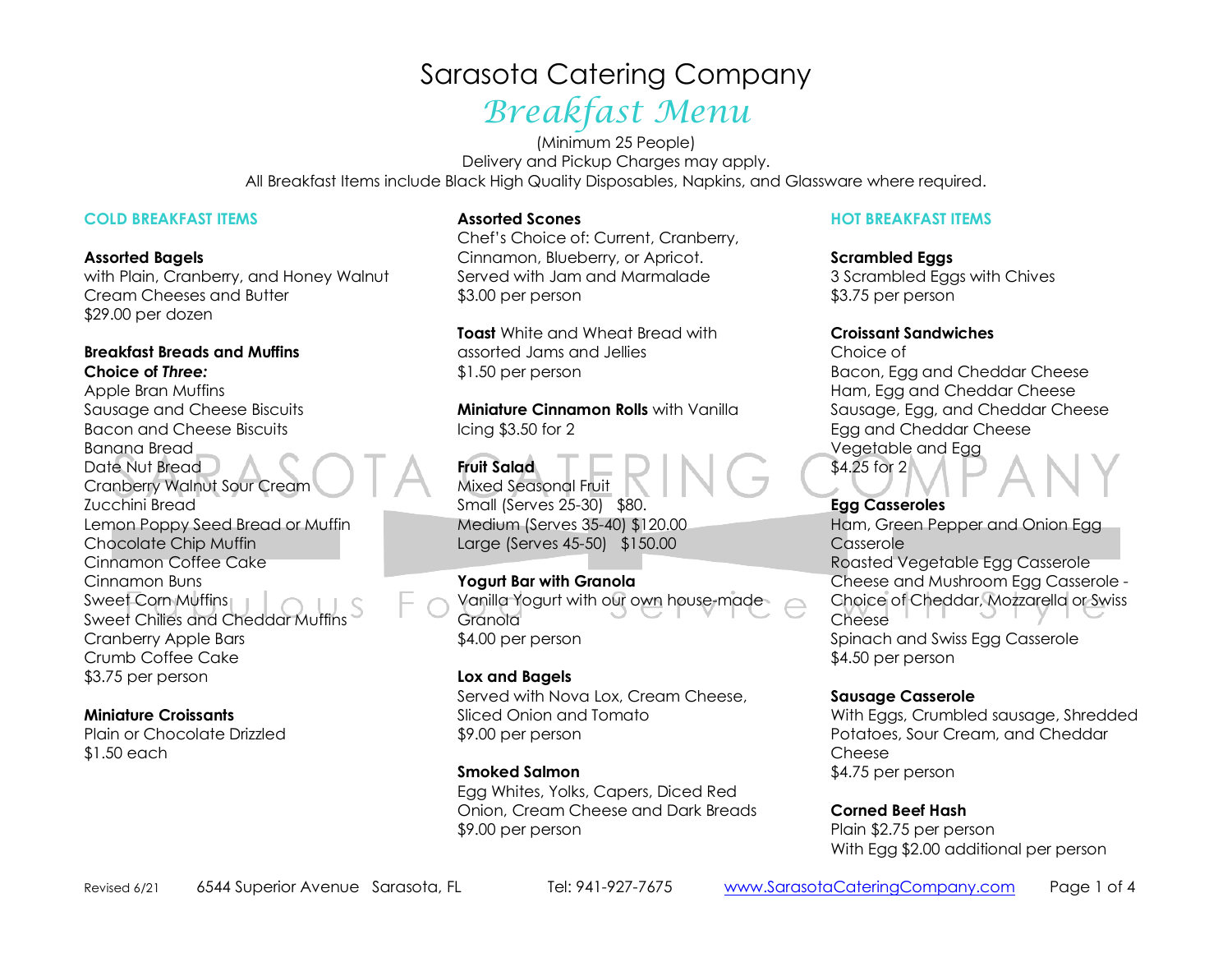# Sarasota Catering Company Breakfast Menu

(Minimum 25 People) Delivery and Pickup Charges may apply. All Breakfast Items include Black High Quality Disposables, Napkins, and Glassware where required.

#### **COLD BREAKFAST ITEMS**

#### **Assorted Bagels**

 with Plain, Cranberry, and Honey Walnut Cream Cheeses and Butter \$29.00 per dozen

#### **Breakfast Breads and Muffins Choice of** *Three:*

 Apple Bran Muffins Sausage and Cheese Biscuits Bacon and Cheese Biscuits Banana Bread Date Nut Bread Cranberry Walnut Sour Cream Zucchini Bread Lemon Poppy Seed Bread or Muffin Chocolate Chip Muffin Cinnamon Coffee Cake Cinnamon Buns Sweet Corn Muffins Sweet Chilies and Cheddar Muffins Cranberry Apple Bars Crumb Coffee Cake \$3.75 per person

#### **Miniature Croissants**

 Plain or Chocolate Drizzled \$1.50 each

#### **Assorted Scones**

 Chef's Choice of: Current, Cranberry, Cinnamon, Blueberry, or Apricot. Served with Jam and Marmalade \$3.00 per person

**Toast** White and Wheat Bread with assorted Jams and Jellies \$1.50 per person

**Miniature Cinnamon Rolls** with Vanilla Icing \$3.50 for 2

**Fruit Salad**  Mixed Seasonal Fruit Small (Serves 25-30) \$80. Medium (Serves 35-40) \$120.00 Large (Serves 45-50) \$150.00

#### **Yogurt Bar with Granola**  Vanilla Yogurt with our own house-made Granola \$4.00 per person

**Lox and Bagels**  Served with Nova Lox, Cream Cheese, Sliced Onion and Tomato \$9.00 per person

#### **Smoked Salmon**

 Egg Whites, Yolks, Capers, Diced Red Onion, Cream Cheese and Dark Breads \$9.00 per person

#### **HOT BREAKFAST ITEMS**

**Scrambled Eggs**  3 Scrambled Eggs with Chives \$3.75 per person

#### **Croissant Sandwiches**

Choice of Bacon, Egg and Cheddar Cheese Ham, Egg and Cheddar Cheese Sausage, Egg, and Cheddar Cheese Egg and Cheddar Cheese Vegetable and Egg \$4.25 for 2

**Egg Casseroles**  Ham, Green Pepper and Onion Egg Casserole Roasted Vegetable Egg Casserole Cheese and Mushroom Egg Casserole - Choice of Cheddar, Mozzarella or Swiss Cheese Spinach and Swiss Egg Casserole \$4.50 per person

#### **Sausage Casserole**

 With Eggs, Crumbled sausage, Shredded Potatoes, Sour Cream, and Cheddar Cheese\$4.75 per person

#### **Corned Beef Hash** Plain \$2.75 per person With Egg \$2.00 additional per person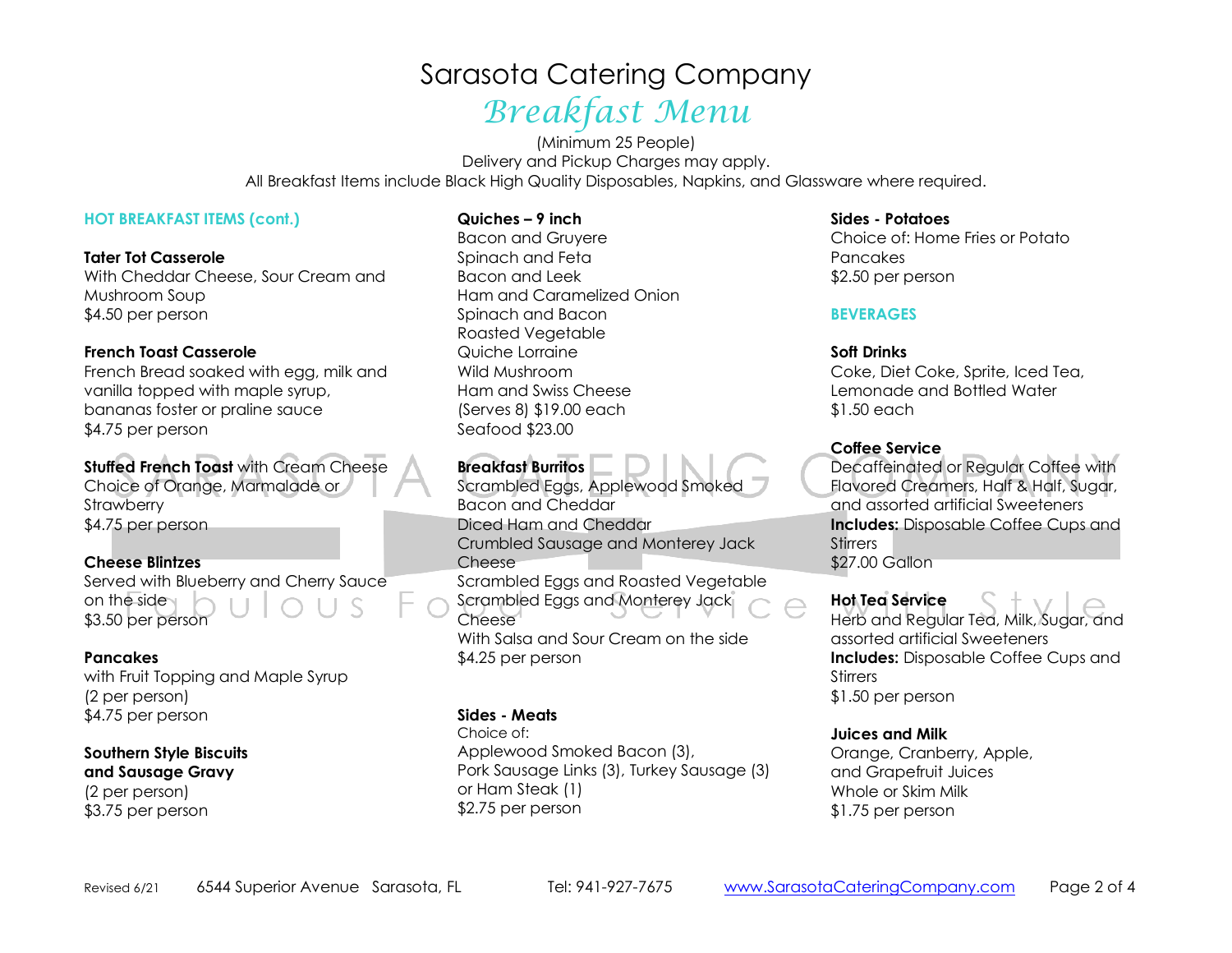# Sarasota Catering Company Breakfast Menu

(Minimum 25 People) Delivery and Pickup Charges may apply. All Breakfast Items include Black High Quality Disposables, Napkins, and Glassware where required.

#### **HOT BREAKFAST ITEMS (cont.)**

**Tater Tot Casserole**  With Cheddar Cheese, Sour Cream and Mushroom Soup \$4.50 per person

#### **French Toast Casserole**

 French Bread soaked with egg, milk and vanilla topped with maple syrup, bananas foster or praline sauce \$4.75 per person

**Stuffed French Toast** with Cream Cheese Choice of Orange, Marmalade or **Strawberry** \$4.75 per person

**Cheese Blintzes**  Served with Blueberry and Cherry Sauce on the side \$3.50 per person

### **Pancakes**

 with Fruit Topping and Maple Syrup (2 per person) \$4.75 per person

#### **Southern Style Biscuits and Sausage Gravy**(2 per person) \$3.75 per person

#### **Quiches – 9 inch**

Bacon and Gruyere Spinach and Feta Bacon and Leek Ham and Caramelized Onion Spinach and Bacon Roasted Vegetable Quiche Lorraine Wild Mushroom Ham and Swiss Cheese (Serves 8) \$19.00 each Seafood \$23.00

### **Breakfast Burritos**

 Scrambled Eggs, Applewood Smoked Bacon and Cheddar Diced Ham and Cheddar Crumbled Sausage and Monterey Jack Cheese Scrambled Eggs and Roasted Vegetable Scrambled Eggs and Monterey Jack Cheese With Salsa and Sour Cream on the side \$4.25 per person

#### **Sides - Meats**

Choice of: Applewood Smoked Bacon (3), Pork Sausage Links (3), Turkey Sausage (3) or Ham Steak (1) \$2.75 per person

#### **Sides - Potatoes**

 Choice of: Home Fries or Potato Pancakes \$2.50 per person

#### **BEVERAGES**

#### **Soft Drinks**

 Coke, Diet Coke, Sprite, Iced Tea, Lemonade and Bottled Water \$1.50 each

#### **Coffee Service**

 Decaffeinated or Regular Coffee with Flavored Creamers, Half & Half, Sugar, and assorted artificial Sweeteners **Includes:** Disposable Coffee Cups and **Stirrers** \$27.00 Gallon

#### **Hot Tea Service**

 Herb and Regular Tea, Milk, Sugar, and assorted artificial Sweeteners **Includes:** Disposable Coffee Cups and **Stirrers** \$1.50 per person

#### **Juices and Milk**

 Orange, Cranberry, Apple, and Grapefruit Juices Whole or Skim Milk \$1.75 per person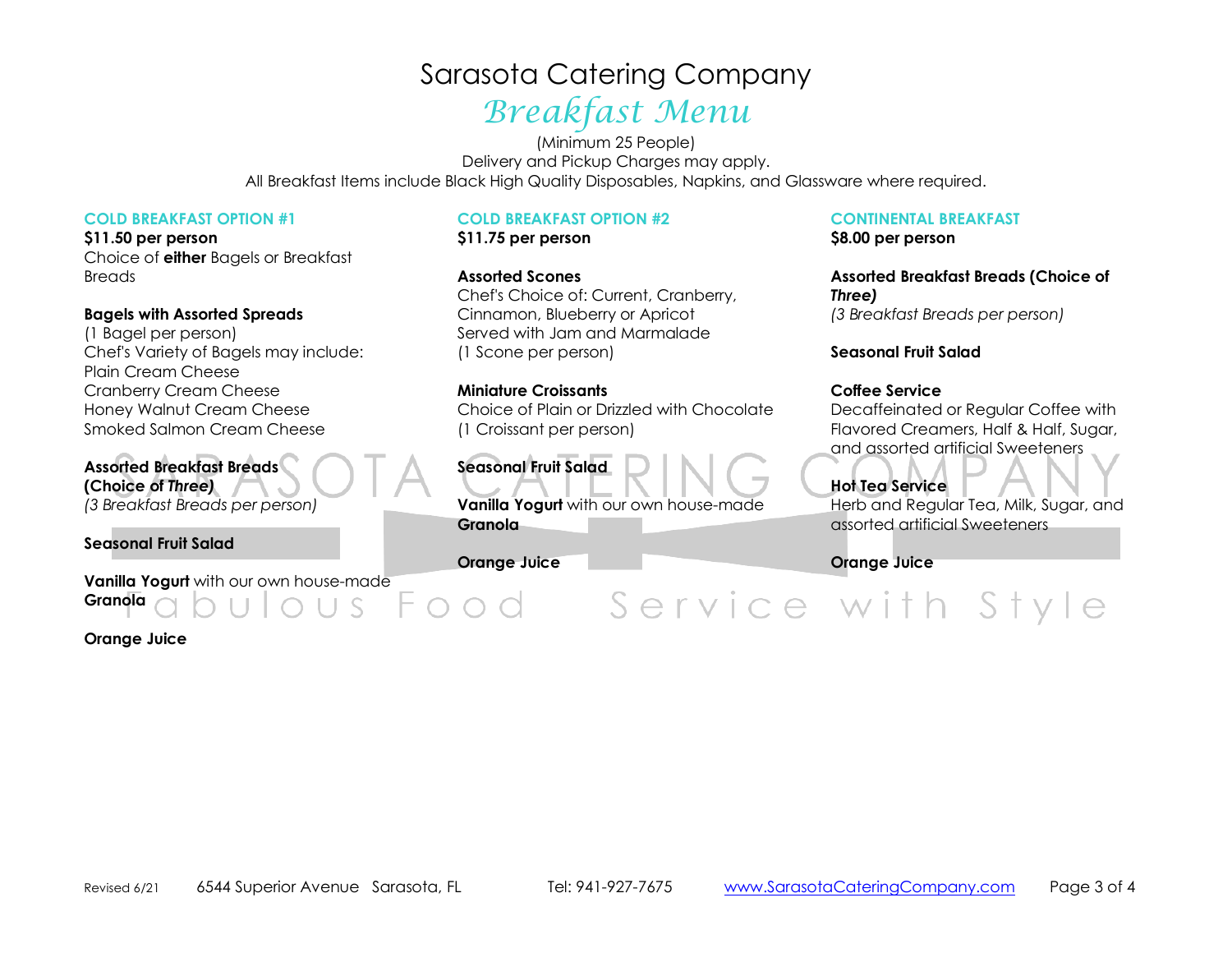# Sarasota Catering Company

# Breakfast Menu

(Minimum 25 People) Delivery and Pickup Charges may apply. All Breakfast Items include Black High Quality Disposables, Napkins, and Glassware where required.

#### **COLD BREAKFAST OPTION #1**

**\$11.50 per person**  Choice of **either** Bagels or Breakfast Breads

#### **Bagels with Assorted Spreads**

(1 Bagel per person) Chef's Variety of Bagels may include: Plain Cream Cheese Cranberry Cream Cheese Honey Walnut Cream Cheese Smoked Salmon Cream Cheese

**Assorted Breakfast Breads (Choice of** *Three) (3 Breakfast Breads per person)* 

**Seasonal Fruit Salad** 

**Vanilla Yogurt** with our own house-made**Granola**

**Orange Juice**

#### **COLD BREAKFAST OPTION #2**

**\$11.75 per person** 

**Assorted Scones** 

 Chef's Choice of: Current, Cranberry, Cinnamon, Blueberry or Apricot Served with Jam and Marmalade (1 Scone per person)

#### **Miniature Croissants**

 Choice of Plain or Drizzled with Chocolate (1 Croissant per person)

## **Seasonal Fruit Salad**

**Vanilla Yogurt** with our own house-made **Granola**

**Orange Juice**

 $000$ 

### **CONTINENTAL BREAKFAST**

**\$8.00 per person** 

**Assorted Breakfast Breads (Choice of** *Three) (3 Breakfast Breads per person)* 

#### **Seasonal Fruit Salad**

#### **Coffee Service**

Decaffeinated or Regular Coffee with Flavored Creamers, Half & Half, Sugar, and assorted artificial Sweeteners

### **Hot Tea Service**

 Herb and Regular Tea, Milk, Sugar, and assorted artificial Sweeteners

**Orange Juice** 

Service with Style

Revised 6/216544 Superior Avenue Sarasota, FL Tel: 941-927-7675 www.SarasotaCateringCompany.com Page 3 of 4